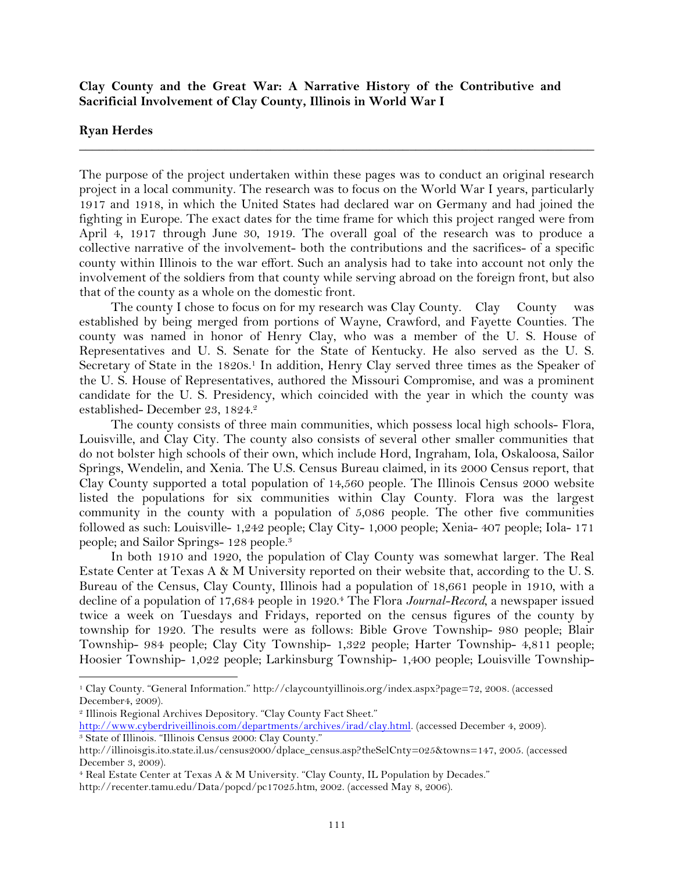## **Clay County and the Great War: A Narrative History of the Contributive and Sacrificial Involvement of Clay County, Illinois in World War I**

## **Ryan Herdes**

The purpose of the project undertaken within these pages was to conduct an original research project in a local community. The research was to focus on the World War I years, particularly 1917 and 1918, in which the United States had declared war on Germany and had joined the fighting in Europe. The exact dates for the time frame for which this project ranged were from April 4, 1917 through June 30, 1919. The overall goal of the research was to produce a collective narrative of the involvement- both the contributions and the sacrifices- of a specific county within Illinois to the war effort. Such an analysis had to take into account not only the involvement of the soldiers from that county while serving abroad on the foreign front, but also that of the county as a whole on the domestic front.

**\_\_\_\_\_\_\_\_\_\_\_\_\_\_\_\_\_\_\_\_\_\_\_\_\_\_\_\_\_\_\_\_\_\_\_\_\_\_\_\_\_\_\_\_\_\_\_\_\_\_\_\_\_\_\_\_\_\_\_\_\_\_\_\_\_\_\_\_\_\_\_\_\_\_\_\_\_\_**

The county I chose to focus on for my research was Clay County. Clay County was established by being merged from portions of Wayne, Crawford, and Fayette Counties. The county was named in honor of Henry Clay, who was a member of the U. S. House of Representatives and U. S. Senate for the State of Kentucky. He also served as the U. S. Secretary of State in the 1820s.<sup>1</sup> In addition, Henry Clay served three times as the Speaker of the U. S. House of Representatives, authored the Missouri Compromise, and was a prominent candidate for the U. S. Presidency, which coincided with the year in which the county was established- December 23, 1824.2

The county consists of three main communities, which possess local high schools- Flora, Louisville, and Clay City. The county also consists of several other smaller communities that do not bolster high schools of their own, which include Hord, Ingraham, Iola, Oskaloosa, Sailor Springs, Wendelin, and Xenia. The U.S. Census Bureau claimed, in its 2000 Census report, that Clay County supported a total population of 14,560 people. The Illinois Census 2000 website listed the populations for six communities within Clay County. Flora was the largest community in the county with a population of 5,086 people. The other five communities followed as such: Louisville- 1,242 people; Clay City- 1,000 people; Xenia- 407 people; Iola- 171 people; and Sailor Springs- 128 people.3

In both 1910 and 1920, the population of Clay County was somewhat larger. The Real Estate Center at Texas A & M University reported on their website that, according to the U. S. Bureau of the Census, Clay County, Illinois had a population of 18,661 people in 1910, with a decline of a population of 17,684 people in 1920.4 The Flora *Journal-Record*, a newspaper issued twice a week on Tuesdays and Fridays, reported on the census figures of the county by township for 1920. The results were as follows: Bible Grove Township- 980 people; Blair Township- 984 people; Clay City Township- 1,322 people; Harter Township- 4,811 people; Hoosier Township- 1,022 people; Larkinsburg Township- 1,400 people; Louisville Township-

<sup>1</sup> Clay County. "General Information." http://claycountyillinois.org/index.aspx?page=72, 2008. (accessed December4, 2009).

<sup>2</sup> Illinois Regional Archives Depository. "Clay County Fact Sheet."

http://www.cyberdriveillinois.com/departments/archives/irad/clay.html. (accessed December 4, 2009). <sup>3</sup> State of Illinois. "Illinois Census 2000: Clay County."

http://illinoisgis.ito.state.il.us/census2000/dplace\_census.asp?theSelCnty=025&towns=147, 2005. (accessed December 3, 2009).

<sup>4</sup> Real Estate Center at Texas A & M University. "Clay County, IL Population by Decades."

http://recenter.tamu.edu/Data/popcd/pc17025.htm, 2002. (accessed May 8, 2006).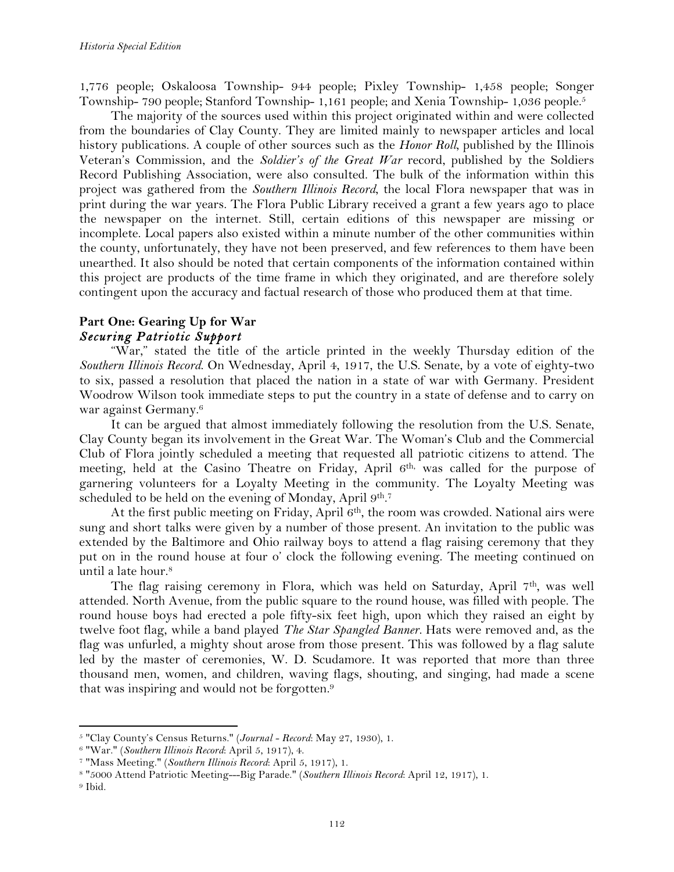1,776 people; Oskaloosa Township- 944 people; Pixley Township- 1,458 people; Songer Township- 790 people; Stanford Township- 1,161 people; and Xenia Township- 1,036 people.5

The majority of the sources used within this project originated within and were collected from the boundaries of Clay County. They are limited mainly to newspaper articles and local history publications. A couple of other sources such as the *Honor Roll*, published by the Illinois Veteran's Commission, and the *Soldier's of the Great War* record, published by the Soldiers Record Publishing Association, were also consulted. The bulk of the information within this project was gathered from the *Southern Illinois Record*, the local Flora newspaper that was in print during the war years. The Flora Public Library received a grant a few years ago to place the newspaper on the internet. Still, certain editions of this newspaper are missing or incomplete. Local papers also existed within a minute number of the other communities within the county, unfortunately, they have not been preserved, and few references to them have been unearthed. It also should be noted that certain components of the information contained within this project are products of the time frame in which they originated, and are therefore solely contingent upon the accuracy and factual research of those who produced them at that time.

# **Part One: Gearing Up for War** *Securing Patriotic Support*

"War," stated the title of the article printed in the weekly Thursday edition of the *Southern Illinois Record*. On Wednesday, April 4, 1917, the U.S. Senate, by a vote of eighty-two to six, passed a resolution that placed the nation in a state of war with Germany. President Woodrow Wilson took immediate steps to put the country in a state of defense and to carry on war against Germany.6

It can be argued that almost immediately following the resolution from the U.S. Senate, Clay County began its involvement in the Great War. The Woman's Club and the Commercial Club of Flora jointly scheduled a meeting that requested all patriotic citizens to attend. The meeting, held at the Casino Theatre on Friday, April 6<sup>th,</sup> was called for the purpose of garnering volunteers for a Loyalty Meeting in the community. The Loyalty Meeting was scheduled to be held on the evening of Monday, April 9<sup>th</sup>.<sup>7</sup>

At the first public meeting on Friday, April 6<sup>th</sup>, the room was crowded. National airs were sung and short talks were given by a number of those present. An invitation to the public was extended by the Baltimore and Ohio railway boys to attend a flag raising ceremony that they put on in the round house at four o' clock the following evening. The meeting continued on until a late hour.8

The flag raising ceremony in Flora, which was held on Saturday, April 7th, was well attended. North Avenue, from the public square to the round house, was filled with people. The round house boys had erected a pole fifty-six feet high, upon which they raised an eight by twelve foot flag, while a band played *The Star Spangled Banner.* Hats were removed and, as the flag was unfurled, a mighty shout arose from those present. This was followed by a flag salute led by the master of ceremonies, W. D. Scudamore. It was reported that more than three thousand men, women, and children, waving flags, shouting, and singing, had made a scene that was inspiring and would not be forgotten.9

<sup>5</sup> "Clay County's Census Returns." (*Journal - Record*: May 27, 1930), 1.

<sup>6</sup> "War." (*Southern Illinois Record*: April 5, 1917), 4.

<sup>7</sup> "Mass Meeting." (*Southern Illinois Record*: April 5, 1917), 1.

<sup>8</sup> "5000 Attend Patriotic Meeting---Big Parade." (*Southern Illinois Record*: April 12, 1917), 1.

<sup>9</sup> Ibid.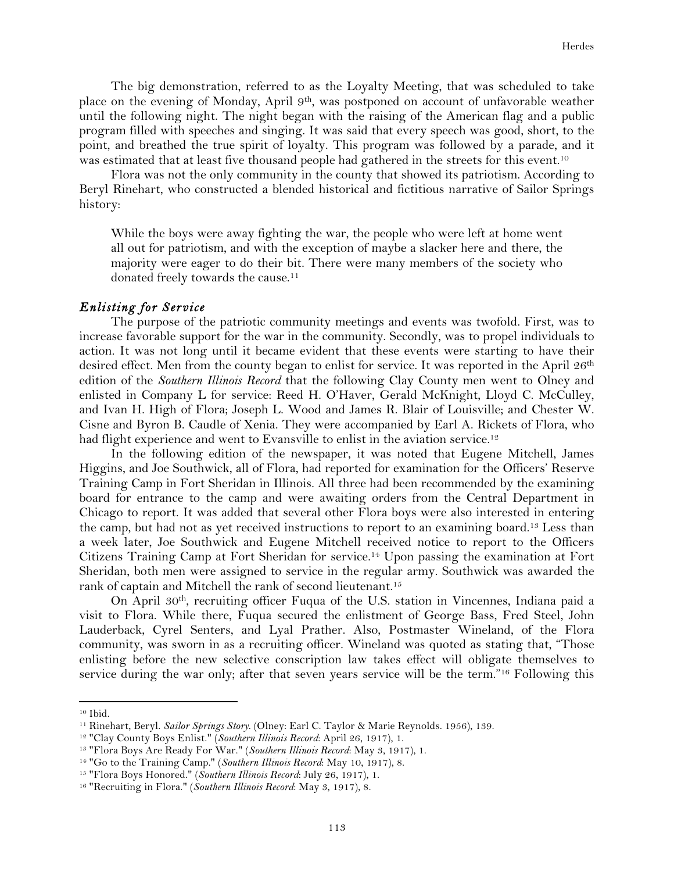The big demonstration, referred to as the Loyalty Meeting, that was scheduled to take place on the evening of Monday, April 9th, was postponed on account of unfavorable weather until the following night. The night began with the raising of the American flag and a public program filled with speeches and singing. It was said that every speech was good, short, to the point, and breathed the true spirit of loyalty. This program was followed by a parade, and it was estimated that at least five thousand people had gathered in the streets for this event.<sup>10</sup>

Flora was not the only community in the county that showed its patriotism. According to Beryl Rinehart, who constructed a blended historical and fictitious narrative of Sailor Springs history:

While the boys were away fighting the war, the people who were left at home went all out for patriotism, and with the exception of maybe a slacker here and there, the majority were eager to do their bit. There were many members of the society who donated freely towards the cause.<sup>11</sup>

#### *Enlisting for Service*

The purpose of the patriotic community meetings and events was twofold. First, was to increase favorable support for the war in the community. Secondly, was to propel individuals to action. It was not long until it became evident that these events were starting to have their desired effect. Men from the county began to enlist for service. It was reported in the April 26<sup>th</sup> edition of the *Southern Illinois Record* that the following Clay County men went to Olney and enlisted in Company L for service: Reed H. O'Haver, Gerald McKnight, Lloyd C. McCulley, and Ivan H. High of Flora; Joseph L. Wood and James R. Blair of Louisville; and Chester W. Cisne and Byron B. Caudle of Xenia. They were accompanied by Earl A. Rickets of Flora, who had flight experience and went to Evansville to enlist in the aviation service.<sup>12</sup>

In the following edition of the newspaper, it was noted that Eugene Mitchell, James Higgins, and Joe Southwick, all of Flora, had reported for examination for the Officers' Reserve Training Camp in Fort Sheridan in Illinois. All three had been recommended by the examining board for entrance to the camp and were awaiting orders from the Central Department in Chicago to report. It was added that several other Flora boys were also interested in entering the camp, but had not as yet received instructions to report to an examining board.13 Less than a week later, Joe Southwick and Eugene Mitchell received notice to report to the Officers Citizens Training Camp at Fort Sheridan for service.14 Upon passing the examination at Fort Sheridan, both men were assigned to service in the regular army. Southwick was awarded the rank of captain and Mitchell the rank of second lieutenant.<sup>15</sup>

On April 30th, recruiting officer Fuqua of the U.S. station in Vincennes, Indiana paid a visit to Flora. While there, Fuqua secured the enlistment of George Bass, Fred Steel, John Lauderback, Cyrel Senters, and Lyal Prather. Also, Postmaster Wineland, of the Flora community, was sworn in as a recruiting officer. Wineland was quoted as stating that, "Those enlisting before the new selective conscription law takes effect will obligate themselves to service during the war only; after that seven years service will be the term."<sup>16</sup> Following this

<sup>10</sup> Ibid.

<sup>11</sup> Rinehart, Beryl. *Sailor Springs Story*. (Olney: Earl C. Taylor & Marie Reynolds. 1956), 139.

<sup>12</sup> "Clay County Boys Enlist." (*Southern Illinois Record*: April 26, 1917), 1.

<sup>13</sup> "Flora Boys Are Ready For War." (*Southern Illinois Record*: May 3, 1917), 1.

<sup>14</sup> "Go to the Training Camp." (*Southern Illinois Record*: May 10, 1917), 8.

<sup>15</sup> "Flora Boys Honored." (*Southern Illinois Record*: July 26, 1917), 1.

<sup>16</sup> "Recruiting in Flora." (*Southern Illinois Record*: May 3, 1917), 8.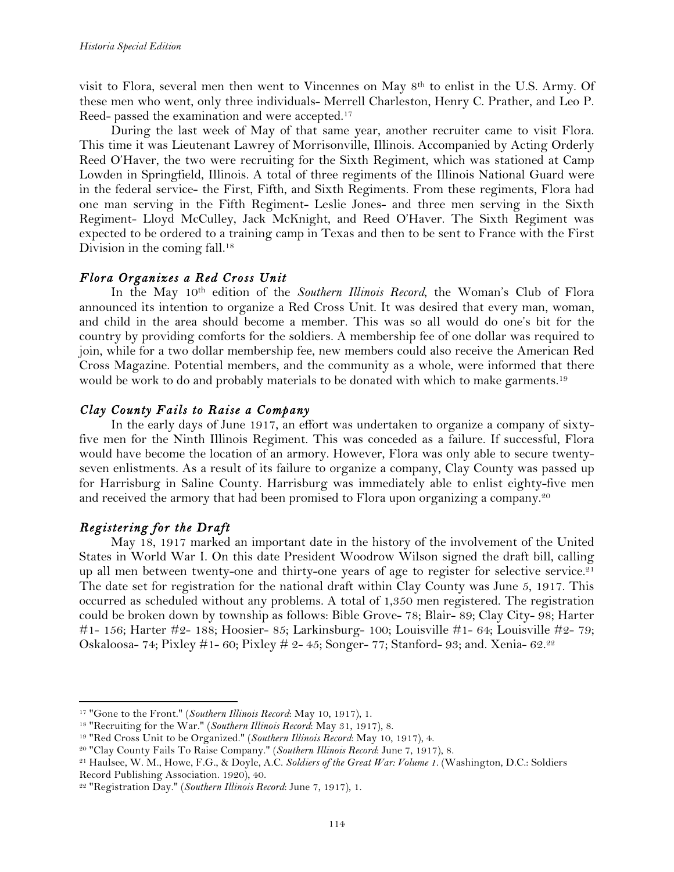visit to Flora, several men then went to Vincennes on May  $8<sup>th</sup>$  to enlist in the U.S. Army. Of these men who went, only three individuals- Merrell Charleston, Henry C. Prather, and Leo P. Reed- passed the examination and were accepted.17

During the last week of May of that same year, another recruiter came to visit Flora. This time it was Lieutenant Lawrey of Morrisonville, Illinois. Accompanied by Acting Orderly Reed O'Haver, the two were recruiting for the Sixth Regiment, which was stationed at Camp Lowden in Springfield, Illinois. A total of three regiments of the Illinois National Guard were in the federal service- the First, Fifth, and Sixth Regiments. From these regiments, Flora had one man serving in the Fifth Regiment- Leslie Jones- and three men serving in the Sixth Regiment- Lloyd McCulley, Jack McKnight, and Reed O'Haver. The Sixth Regiment was expected to be ordered to a training camp in Texas and then to be sent to France with the First Division in the coming fall.<sup>18</sup>

## *Flora Organizes a Red Cross Unit*

In the May 10th edition of the *Southern Illinois Record*, the Woman's Club of Flora announced its intention to organize a Red Cross Unit. It was desired that every man, woman, and child in the area should become a member. This was so all would do one's bit for the country by providing comforts for the soldiers. A membership fee of one dollar was required to join, while for a two dollar membership fee, new members could also receive the American Red Cross Magazine. Potential members, and the community as a whole, were informed that there would be work to do and probably materials to be donated with which to make garments.<sup>19</sup>

## *Clay County Fails to Raise a Company*

In the early days of June 1917, an effort was undertaken to organize a company of sixtyfive men for the Ninth Illinois Regiment. This was conceded as a failure. If successful, Flora would have become the location of an armory. However, Flora was only able to secure twentyseven enlistments. As a result of its failure to organize a company, Clay County was passed up for Harrisburg in Saline County. Harrisburg was immediately able to enlist eighty-five men and received the armory that had been promised to Flora upon organizing a company.20

## *Registering for the Draft*

!!!!!!!!!!!!!!!!!!!!!!!!!!!!!!!!!!!!!!!!!!!!!!!!!!!!!!!!!!!!

May 18, 1917 marked an important date in the history of the involvement of the United States in World War I. On this date President Woodrow Wilson signed the draft bill, calling up all men between twenty-one and thirty-one years of age to register for selective service.<sup>21</sup> The date set for registration for the national draft within Clay County was June 5, 1917. This occurred as scheduled without any problems. A total of 1,350 men registered. The registration could be broken down by township as follows: Bible Grove- 78; Blair- 89; Clay City- 98; Harter #1- 156; Harter #2- 188; Hoosier- 85; Larkinsburg- 100; Louisville #1- 64; Louisville #2- 79; Oskaloosa- 74; Pixley #1- 60; Pixley # 2- 45; Songer- 77; Stanford- 93; and. Xenia-  $62.22$ 

<sup>17</sup> "Gone to the Front." (*Southern Illinois Record*: May 10, 1917), 1.

<sup>18</sup> "Recruiting for the War." (*Southern Illinois Record*: May 31, 1917), 8.

<sup>19</sup> "Red Cross Unit to be Organized." (*Southern Illinois Record*: May 10, 1917), 4.

<sup>20</sup> "Clay County Fails To Raise Company." (*Southern Illinois Record*: June 7, 1917), 8.

<sup>21</sup> Haulsee, W. M., Howe, F.G., & Doyle, A.C. *Soldiers of the Great War: Volume 1*. (Washington, D.C.: Soldiers Record Publishing Association. 1920), 40.

<sup>22</sup> "Registration Day." (*Southern Illinois Record*: June 7, 1917), 1.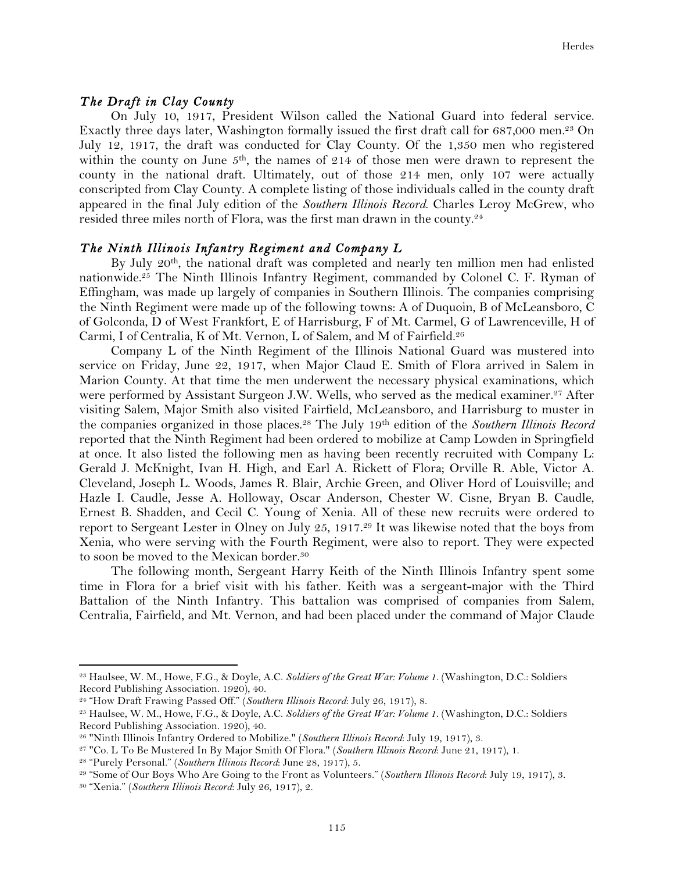#### *The Draft in Clay County*

On July 10, 1917, President Wilson called the National Guard into federal service. Exactly three days later, Washington formally issued the first draft call for 687,000 men.<sup>23</sup> On July 12, 1917, the draft was conducted for Clay County. Of the 1,350 men who registered within the county on June  $5<sup>th</sup>$ , the names of 214 of those men were drawn to represent the county in the national draft. Ultimately, out of those 214 men, only 107 were actually conscripted from Clay County. A complete listing of those individuals called in the county draft appeared in the final July edition of the *Southern Illinois Record*. Charles Leroy McGrew, who resided three miles north of Flora, was the first man drawn in the county.24

#### *The Ninth Illinois Infantry Regiment and Company L*

By July 20th, the national draft was completed and nearly ten million men had enlisted nationwide.25 The Ninth Illinois Infantry Regiment, commanded by Colonel C. F. Ryman of Effingham, was made up largely of companies in Southern Illinois. The companies comprising the Ninth Regiment were made up of the following towns: A of Duquoin, B of McLeansboro, C of Golconda, D of West Frankfort, E of Harrisburg, F of Mt. Carmel, G of Lawrenceville, H of Carmi, I of Centralia, K of Mt. Vernon, L of Salem, and M of Fairfield.26

Company L of the Ninth Regiment of the Illinois National Guard was mustered into service on Friday, June 22, 1917, when Major Claud E. Smith of Flora arrived in Salem in Marion County. At that time the men underwent the necessary physical examinations, which were performed by Assistant Surgeon J.W. Wells, who served as the medical examiner.<sup>27</sup> After visiting Salem, Major Smith also visited Fairfield, McLeansboro, and Harrisburg to muster in the companies organized in those places.28 The July 19th edition of the *Southern Illinois Record* reported that the Ninth Regiment had been ordered to mobilize at Camp Lowden in Springfield at once. It also listed the following men as having been recently recruited with Company L: Gerald J. McKnight, Ivan H. High, and Earl A. Rickett of Flora; Orville R. Able, Victor A. Cleveland, Joseph L. Woods, James R. Blair, Archie Green, and Oliver Hord of Louisville; and Hazle I. Caudle, Jesse A. Holloway, Oscar Anderson, Chester W. Cisne, Bryan B. Caudle, Ernest B. Shadden, and Cecil C. Young of Xenia. All of these new recruits were ordered to report to Sergeant Lester in Olney on July 25, 1917.29 It was likewise noted that the boys from Xenia, who were serving with the Fourth Regiment, were also to report. They were expected to soon be moved to the Mexican border.<sup>30</sup>

The following month, Sergeant Harry Keith of the Ninth Illinois Infantry spent some time in Flora for a brief visit with his father. Keith was a sergeant-major with the Third Battalion of the Ninth Infantry. This battalion was comprised of companies from Salem, Centralia, Fairfield, and Mt. Vernon, and had been placed under the command of Major Claude

<sup>23</sup> Haulsee, W. M., Howe, F.G., & Doyle, A.C. *Soldiers of the Great War: Volume 1*. (Washington, D.C.: Soldiers Record Publishing Association. 1920), 40.

<sup>24</sup> "How Draft Frawing Passed Off." (*Southern Illinois Record*: July 26, 1917), 8.

<sup>25</sup> Haulsee, W. M., Howe, F.G., & Doyle, A.C. *Soldiers of the Great War: Volume 1*. (Washington, D.C.: Soldiers Record Publishing Association. 1920), 40.

<sup>26</sup> "Ninth Illinois Infantry Ordered to Mobilize." (*Southern Illinois Record*: July 19, 1917), 3.

<sup>27</sup> "Co. L To Be Mustered In By Major Smith Of Flora." (*Southern Illinois Record*: June 21, 1917), 1.

<sup>28</sup> "Purely Personal." (*Southern Illinois Record*: June 28, 1917), 5.

<sup>29</sup> "Some of Our Boys Who Are Going to the Front as Volunteers." (*Southern Illinois Record*: July 19, 1917), 3.

<sup>30</sup> "Xenia." (*Southern Illinois Record*: July 26, 1917), 2.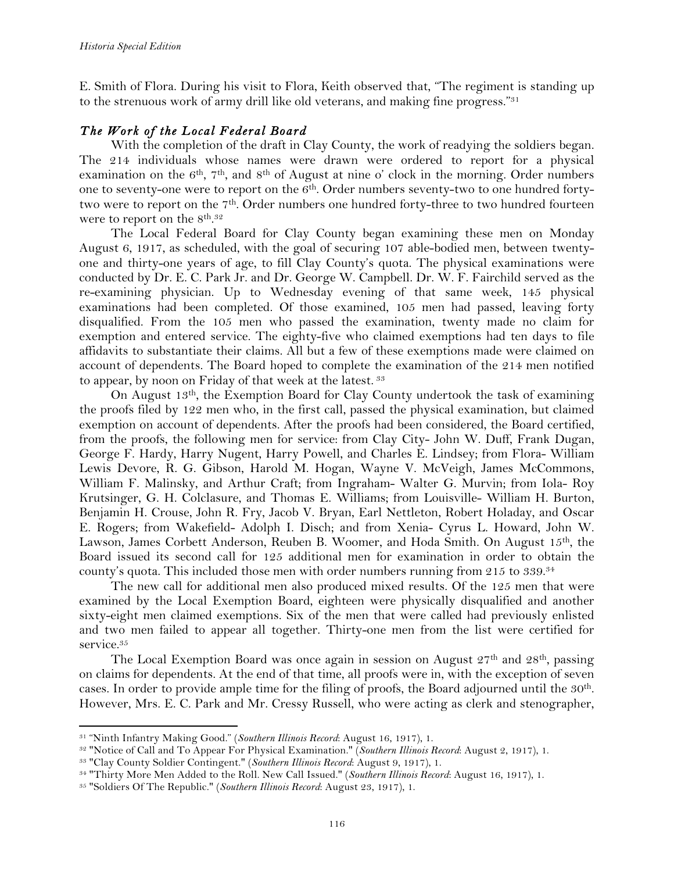E. Smith of Flora. During his visit to Flora, Keith observed that, "The regiment is standing up to the strenuous work of army drill like old veterans, and making fine progress."31

## *The Work of the Local Federal Board*

With the completion of the draft in Clay County, the work of readying the soldiers began. The 214 individuals whose names were drawn were ordered to report for a physical examination on the 6<sup>th</sup>, 7<sup>th</sup>, and 8<sup>th</sup> of August at nine o' clock in the morning. Order numbers one to seventy-one were to report on the 6<sup>th</sup>. Order numbers seventy-two to one hundred fortytwo were to report on the 7<sup>th</sup>. Order numbers one hundred forty-three to two hundred fourteen were to report on the  $8^{\text{th}}$ .<sup>32</sup>

The Local Federal Board for Clay County began examining these men on Monday August 6, 1917, as scheduled, with the goal of securing 107 able-bodied men, between twentyone and thirty-one years of age, to fill Clay County's quota. The physical examinations were conducted by Dr. E. C. Park Jr. and Dr. George W. Campbell. Dr. W. F. Fairchild served as the re-examining physician. Up to Wednesday evening of that same week, 145 physical examinations had been completed. Of those examined, 105 men had passed, leaving forty disqualified. From the 105 men who passed the examination, twenty made no claim for exemption and entered service. The eighty-five who claimed exemptions had ten days to file affidavits to substantiate their claims. All but a few of these exemptions made were claimed on account of dependents. The Board hoped to complete the examination of the 214 men notified to appear, by noon on Friday of that week at the latest. <sup>33</sup>

On August 13th, the Exemption Board for Clay County undertook the task of examining the proofs filed by 122 men who, in the first call, passed the physical examination, but claimed exemption on account of dependents. After the proofs had been considered, the Board certified, from the proofs, the following men for service: from Clay City- John W. Duff, Frank Dugan, George F. Hardy, Harry Nugent, Harry Powell, and Charles E. Lindsey; from Flora- William Lewis Devore, R. G. Gibson, Harold M. Hogan, Wayne V. McVeigh, James McCommons, William F. Malinsky, and Arthur Craft; from Ingraham- Walter G. Murvin; from Iola- Roy Krutsinger, G. H. Colclasure, and Thomas E. Williams; from Louisville- William H. Burton, Benjamin H. Crouse, John R. Fry, Jacob V. Bryan, Earl Nettleton, Robert Holaday, and Oscar E. Rogers; from Wakefield- Adolph I. Disch; and from Xenia- Cyrus L. Howard, John W. Lawson, James Corbett Anderson, Reuben B. Woomer, and Hoda Smith. On August 15th, the Board issued its second call for 125 additional men for examination in order to obtain the county's quota. This included those men with order numbers running from 215 to 339.34

The new call for additional men also produced mixed results. Of the 125 men that were examined by the Local Exemption Board, eighteen were physically disqualified and another sixty-eight men claimed exemptions. Six of the men that were called had previously enlisted and two men failed to appear all together. Thirty-one men from the list were certified for service.<sup>35</sup>

The Local Exemption Board was once again in session on August 27<sup>th</sup> and 28<sup>th</sup>, passing on claims for dependents. At the end of that time, all proofs were in, with the exception of seven cases. In order to provide ample time for the filing of proofs, the Board adjourned until the 30th. However, Mrs. E. C. Park and Mr. Cressy Russell, who were acting as clerk and stenographer,

<sup>31</sup> "Ninth Infantry Making Good." (*Southern Illinois Record*: August 16, 1917), 1.

<sup>32</sup> "Notice of Call and To Appear For Physical Examination." (*Southern Illinois Record*: August 2, 1917), 1.

<sup>33</sup> "Clay County Soldier Contingent." (*Southern Illinois Record*: August 9, 1917), 1.

<sup>34</sup> "Thirty More Men Added to the Roll. New Call Issued." (*Southern Illinois Record*: August 16, 1917), 1.

<sup>35</sup> "Soldiers Of The Republic." (*Southern Illinois Record*: August 23, 1917), 1.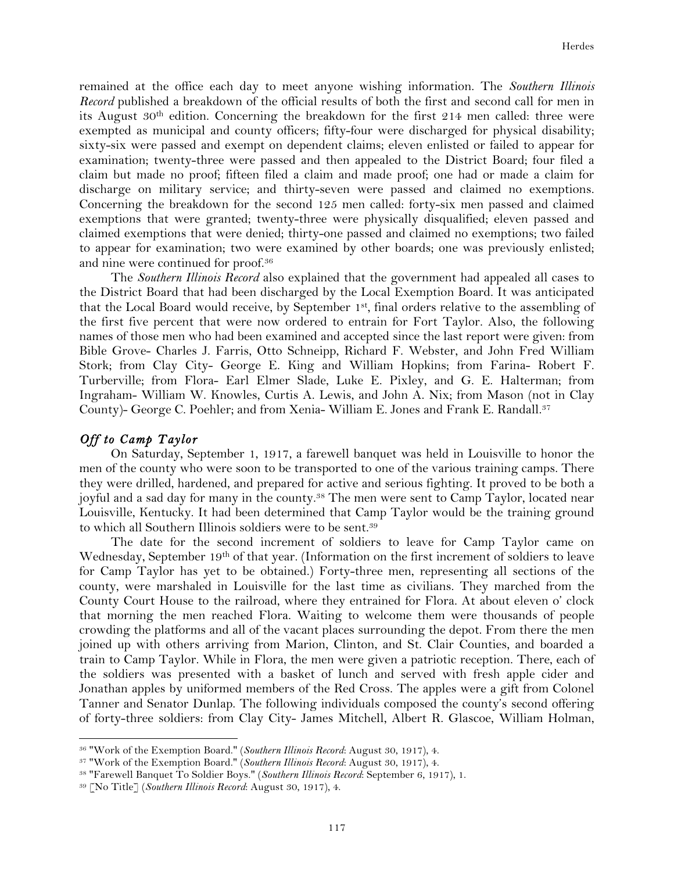remained at the office each day to meet anyone wishing information. The *Southern Illinois Record* published a breakdown of the official results of both the first and second call for men in its August  $30<sup>th</sup>$  edition. Concerning the breakdown for the first 214 men called: three were exempted as municipal and county officers; fifty-four were discharged for physical disability; sixty-six were passed and exempt on dependent claims; eleven enlisted or failed to appear for examination; twenty-three were passed and then appealed to the District Board; four filed a claim but made no proof; fifteen filed a claim and made proof; one had or made a claim for discharge on military service; and thirty-seven were passed and claimed no exemptions. Concerning the breakdown for the second 125 men called: forty-six men passed and claimed exemptions that were granted; twenty-three were physically disqualified; eleven passed and claimed exemptions that were denied; thirty-one passed and claimed no exemptions; two failed to appear for examination; two were examined by other boards; one was previously enlisted; and nine were continued for proof.36

The *Southern Illinois Record* also explained that the government had appealed all cases to the District Board that had been discharged by the Local Exemption Board. It was anticipated that the Local Board would receive, by September 1st, final orders relative to the assembling of the first five percent that were now ordered to entrain for Fort Taylor. Also, the following names of those men who had been examined and accepted since the last report were given: from Bible Grove- Charles J. Farris, Otto Schneipp, Richard F. Webster, and John Fred William Stork; from Clay City- George E. King and William Hopkins; from Farina- Robert F. Turberville; from Flora- Earl Elmer Slade, Luke E. Pixley, and G. E. Halterman; from Ingraham- William W. Knowles, Curtis A. Lewis, and John A. Nix; from Mason (not in Clay County)- George C. Poehler; and from Xenia-William E. Jones and Frank E. Randall.<sup>37</sup>

#### *Off to Camp Taylor*

On Saturday, September 1, 1917, a farewell banquet was held in Louisville to honor the men of the county who were soon to be transported to one of the various training camps. There they were drilled, hardened, and prepared for active and serious fighting. It proved to be both a joyful and a sad day for many in the county.38 The men were sent to Camp Taylor, located near Louisville, Kentucky. It had been determined that Camp Taylor would be the training ground to which all Southern Illinois soldiers were to be sent.39

The date for the second increment of soldiers to leave for Camp Taylor came on Wednesday, September 19<sup>th</sup> of that year. (Information on the first increment of soldiers to leave for Camp Taylor has yet to be obtained.) Forty-three men, representing all sections of the county, were marshaled in Louisville for the last time as civilians. They marched from the County Court House to the railroad, where they entrained for Flora. At about eleven o' clock that morning the men reached Flora. Waiting to welcome them were thousands of people crowding the platforms and all of the vacant places surrounding the depot. From there the men joined up with others arriving from Marion, Clinton, and St. Clair Counties, and boarded a train to Camp Taylor. While in Flora, the men were given a patriotic reception. There, each of the soldiers was presented with a basket of lunch and served with fresh apple cider and Jonathan apples by uniformed members of the Red Cross. The apples were a gift from Colonel Tanner and Senator Dunlap. The following individuals composed the county's second offering of forty-three soldiers: from Clay City- James Mitchell, Albert R. Glascoe, William Holman,

<sup>36</sup> "Work of the Exemption Board." (*Southern Illinois Record*: August 30, 1917), 4.

<sup>37</sup> "Work of the Exemption Board." (*Southern Illinois Record*: August 30, 1917), 4.

<sup>38</sup> "Farewell Banquet To Soldier Boys." (*Southern Illinois Record*: September 6, 1917), 1.

<sup>39</sup> [No Title] (*Southern Illinois Record*: August 30, 1917), 4.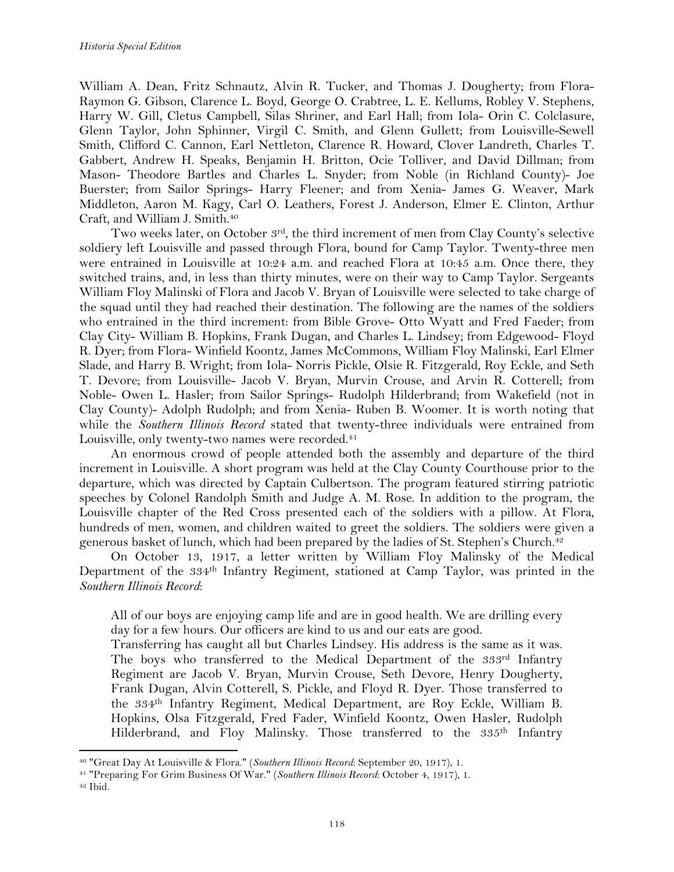William A. Dean, Fritz Schnautz, Alvin R. Tucker, and Thomas J. Dougherty; from Flora-Raymon G. Gibson, Clarence L. Boyd, George O. Crabtree, L. E. Kellums, Robley V. Stephens, Harry W. Gill, Cletus Campbell, Silas Shriner, and Earl Hall; from Iola- Orin C. Colclasure, Glenn Taylor, John Sphinner, Virgil C. Smith, and Glenn Gullett; from Louisville-Sewell Smith, Clifford C. Cannon, Earl Nettleton, Clarence R. Howard, Clover Landreth, Charles T. Gabbert, Andrew H. Speaks, Benjamin H. Britton, Ocie Tolliver, and David Dillman; from Mason- Theodore Bartles and Charles L. Snyder; from Noble (in Richland County)- Joe Buerster; from Sailor Springs- Harry Fleener; and from Xenia- James G. Weaver, Mark Middleton, Aaron M. Kagy, Carl O. Leathers, Forest J. Anderson, Elmer E. Clinton, Arthur Craft, and William J. Smith.40

Two weeks later, on October  $3<sup>rd</sup>$ , the third increment of men from Clay County's selective soldiery left Louisville and passed through Flora, bound for Camp Taylor. Twenty-three men were entrained in Louisville at 10:24 a.m. and reached Flora at 10:45 a.m. Once there, they switched trains, and, in less than thirty minutes, were on their way to Camp Taylor. Sergeants William Floy Malinski of Flora and Jacob V. Bryan of Louisville were selected to take charge of the squad until they had reached their destination. The following are the names of the soldiers who entrained in the third increment: from Bible Grove- Otto Wyatt and Fred Faeder; from Clay City- William B. Hopkins, Frank Dugan, and Charles L. Lindsey; from Edgewood- Floyd R. Dyer; from Flora- Winfield Koontz, James McCommons, William Floy Malinski, Earl Elmer Slade, and Harry B. Wright; from Iola- Norris Pickle, Olsie R. Fitzgerald, Roy Eckle, and Seth T. Devore; from Louisville- Jacob V. Bryan, Murvin Crouse, and Arvin R. Cotterell; from Noble- Owen L. Hasler; from Sailor Springs- Rudolph Hilderbrand; from Wakefield (not in Clay County)- Adolph Rudolph; and from Xenia- Ruben B. Woomer. It is worth noting that while the *Southern Illinois Record* stated that twenty-three individuals were entrained from Louisville, only twenty-two names were recorded.<sup>41</sup>

An enormous crowd of people attended both the assembly and departure of the third increment in Louisville. A short program was held at the Clay County Courthouse prior to the departure, which was directed by Captain Culbertson. The program featured stirring patriotic speeches by Colonel Randolph Smith and Judge A. M. Rose. In addition to the program, the Louisville chapter of the Red Cross presented each of the soldiers with a pillow. At Flora, hundreds of men, women, and children waited to greet the soldiers. The soldiers were given a generous basket of lunch, which had been prepared by the ladies of St. Stephen's Church.<sup>42</sup>

On October 13, 1917, a letter written by William Floy Malinsky of the Medical Department of the 334th Infantry Regiment, stationed at Camp Taylor, was printed in the *Southern Illinois Record*:

All of our boys are enjoying camp life and are in good health. We are drilling every day for a few hours. Our officers are kind to us and our eats are good.

Transferring has caught all but Charles Lindsey. His address is the same as it was. The boys who transferred to the Medical Department of the 333rd Infantry Regiment are Jacob V. Bryan, Murvin Crouse, Seth Devore, Henry Dougherty, Frank Dugan, Alvin Cotterell, S. Pickle, and Floyd R. Dyer. Those transferred to the 334th Infantry Regiment, Medical Department, are Roy Eckle, William B. Hopkins, Olsa Fitzgerald, Fred Fader, Winfield Koontz, Owen Hasler, Rudolph Hilderbrand, and Floy Malinsky. Those transferred to the 335<sup>th</sup> Infantry

<sup>40</sup> "Great Day At Louisville & Flora." (*Southern Illinois Record*: September 20, 1917), 1.

<sup>41</sup> "Preparing For Grim Business Of War." (*Southern Illinois Record*: October 4, 1917), 1.

<sup>42</sup> Ibid.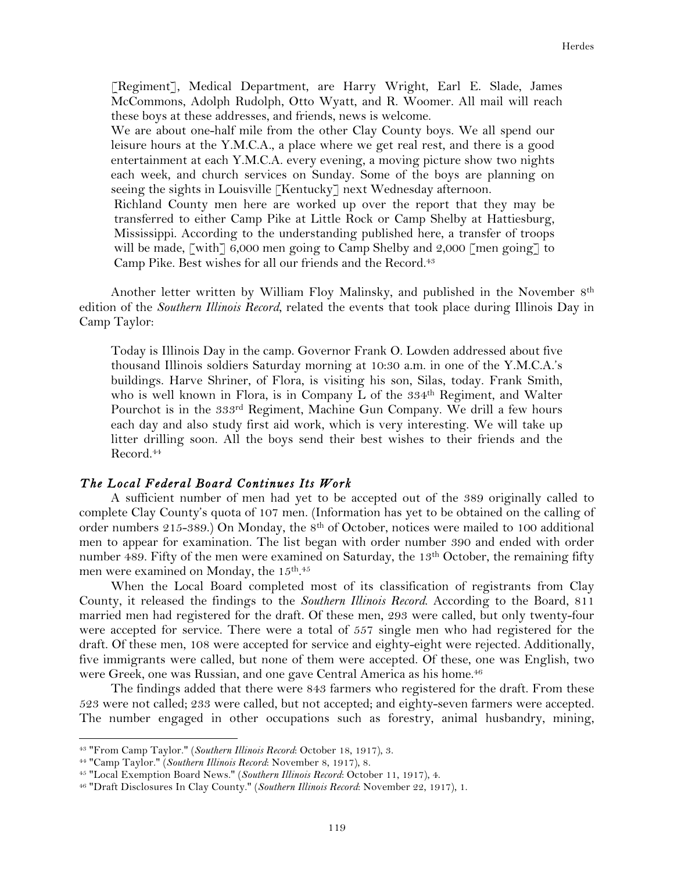[Regiment], Medical Department, are Harry Wright, Earl E. Slade, James McCommons, Adolph Rudolph, Otto Wyatt, and R. Woomer. All mail will reach these boys at these addresses, and friends, news is welcome.

We are about one-half mile from the other Clay County boys. We all spend our leisure hours at the Y.M.C.A., a place where we get real rest, and there is a good entertainment at each Y.M.C.A. every evening, a moving picture show two nights each week, and church services on Sunday. Some of the boys are planning on seeing the sights in Louisville [Kentucky] next Wednesday afternoon.

Richland County men here are worked up over the report that they may be transferred to either Camp Pike at Little Rock or Camp Shelby at Hattiesburg, Mississippi. According to the understanding published here, a transfer of troops will be made,  $\lceil \text{with} \rceil$  6,000 men going to Camp Shelby and 2,000  $\lceil \text{men going} \rceil$  to Camp Pike. Best wishes for all our friends and the Record.43

Another letter written by William Floy Malinsky, and published in the November 8th edition of the *Southern Illinois Record*, related the events that took place during Illinois Day in Camp Taylor:

Today is Illinois Day in the camp. Governor Frank O. Lowden addressed about five thousand Illinois soldiers Saturday morning at 10:30 a.m. in one of the Y.M.C.A.'s buildings. Harve Shriner, of Flora, is visiting his son, Silas, today. Frank Smith, who is well known in Flora, is in Company L of the  $334<sup>th</sup>$  Regiment, and Walter Pourchot is in the 333rd Regiment, Machine Gun Company. We drill a few hours each day and also study first aid work, which is very interesting. We will take up litter drilling soon. All the boys send their best wishes to their friends and the Record.44

#### *The Local Federal Board Continues Its Work*

A sufficient number of men had yet to be accepted out of the 389 originally called to complete Clay County's quota of 107 men. (Information has yet to be obtained on the calling of order numbers 215-389.) On Monday, the 8<sup>th</sup> of October, notices were mailed to 100 additional men to appear for examination. The list began with order number 390 and ended with order number 489. Fifty of the men were examined on Saturday, the 13<sup>th</sup> October, the remaining fifty men were examined on Monday, the  $15^{\rm th.45}$ 

When the Local Board completed most of its classification of registrants from Clay County, it released the findings to the *Southern Illinois Record*. According to the Board, 811 married men had registered for the draft. Of these men, 293 were called, but only twenty-four were accepted for service. There were a total of 557 single men who had registered for the draft. Of these men, 108 were accepted for service and eighty-eight were rejected. Additionally, five immigrants were called, but none of them were accepted. Of these, one was English, two were Greek, one was Russian, and one gave Central America as his home.<sup>46</sup>

The findings added that there were 843 farmers who registered for the draft. From these 523 were not called; 233 were called, but not accepted; and eighty-seven farmers were accepted. The number engaged in other occupations such as forestry, animal husbandry, mining,

<sup>43</sup> "From Camp Taylor." (*Southern Illinois Record*: October 18, 1917), 3.

<sup>44</sup> "Camp Taylor." (*Southern Illinois Record*: November 8, 1917), 8.

<sup>45</sup> "Local Exemption Board News." (*Southern Illinois Record*: October 11, 1917), 4.

<sup>46</sup> "Draft Disclosures In Clay County." (*Southern Illinois Record*: November 22, 1917), 1.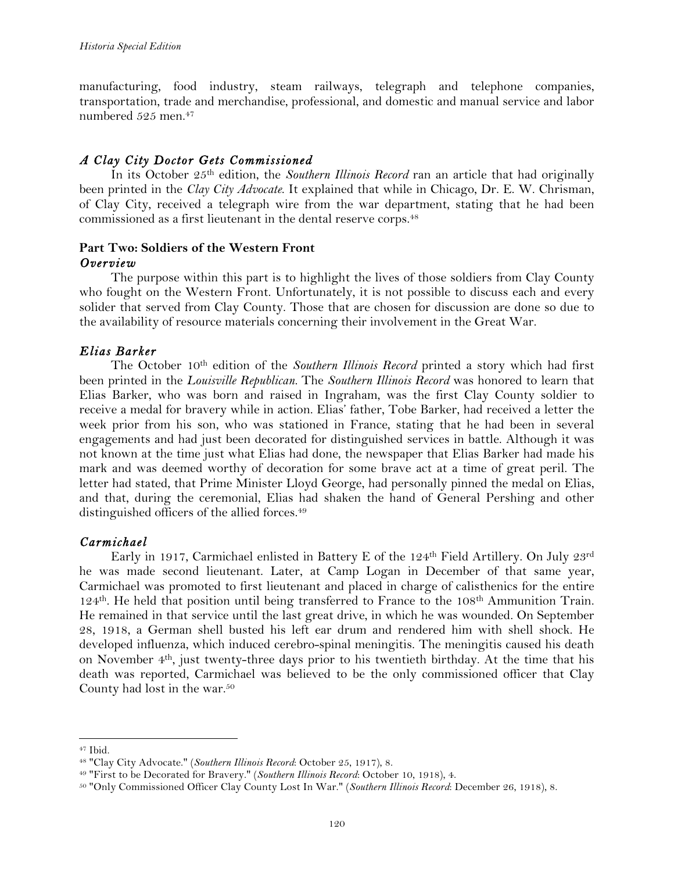manufacturing, food industry, steam railways, telegraph and telephone companies, transportation, trade and merchandise, professional, and domestic and manual service and labor numbered 525 men.47

## *A Clay City Doctor Gets Commissioned*

In its October 25th edition, the *Southern Illinois Record* ran an article that had originally been printed in the *Clay City Advocate*. It explained that while in Chicago, Dr. E. W. Chrisman, of Clay City, received a telegraph wire from the war department, stating that he had been commissioned as a first lieutenant in the dental reserve corps.<sup>48</sup>

## **Part Two: Soldiers of the Western Front** *Overview*

The purpose within this part is to highlight the lives of those soldiers from Clay County who fought on the Western Front. Unfortunately, it is not possible to discuss each and every solider that served from Clay County. Those that are chosen for discussion are done so due to the availability of resource materials concerning their involvement in the Great War.

# *Elias Barker*

The October 10th edition of the *Southern Illinois Record* printed a story which had first been printed in the *Louisville Republican.* The *Southern Illinois Record* was honored to learn that Elias Barker, who was born and raised in Ingraham, was the first Clay County soldier to receive a medal for bravery while in action. Elias' father, Tobe Barker, had received a letter the week prior from his son, who was stationed in France, stating that he had been in several engagements and had just been decorated for distinguished services in battle. Although it was not known at the time just what Elias had done, the newspaper that Elias Barker had made his mark and was deemed worthy of decoration for some brave act at a time of great peril. The letter had stated, that Prime Minister Lloyd George, had personally pinned the medal on Elias, and that, during the ceremonial, Elias had shaken the hand of General Pershing and other distinguished officers of the allied forces.49

## *Carmichael*

Early in 1917, Carmichael enlisted in Battery E of the 124th Field Artillery. On July 23rd he was made second lieutenant. Later, at Camp Logan in December of that same year, Carmichael was promoted to first lieutenant and placed in charge of calisthenics for the entire 124th. He held that position until being transferred to France to the 108th Ammunition Train. He remained in that service until the last great drive, in which he was wounded. On September 28, 1918, a German shell busted his left ear drum and rendered him with shell shock. He developed influenza, which induced cerebro-spinal meningitis. The meningitis caused his death on November 4th, just twenty-three days prior to his twentieth birthday. At the time that his death was reported, Carmichael was believed to be the only commissioned officer that Clay County had lost in the war.50

<sup>!!!!!!!!!!!!!!!!!!!!!!!!!!!!!!!!!!!!!!!!!!!!!!!!!!!!!!!!!!!!</sup> <sup>47</sup> Ibid.

<sup>48</sup> "Clay City Advocate." (*Southern Illinois Record*: October 25, 1917), 8.

<sup>49</sup> "First to be Decorated for Bravery." (*Southern Illinois Record*: October 10, 1918), 4.

<sup>50</sup> "Only Commissioned Officer Clay County Lost In War." (*Southern Illinois Record*: December 26, 1918), 8.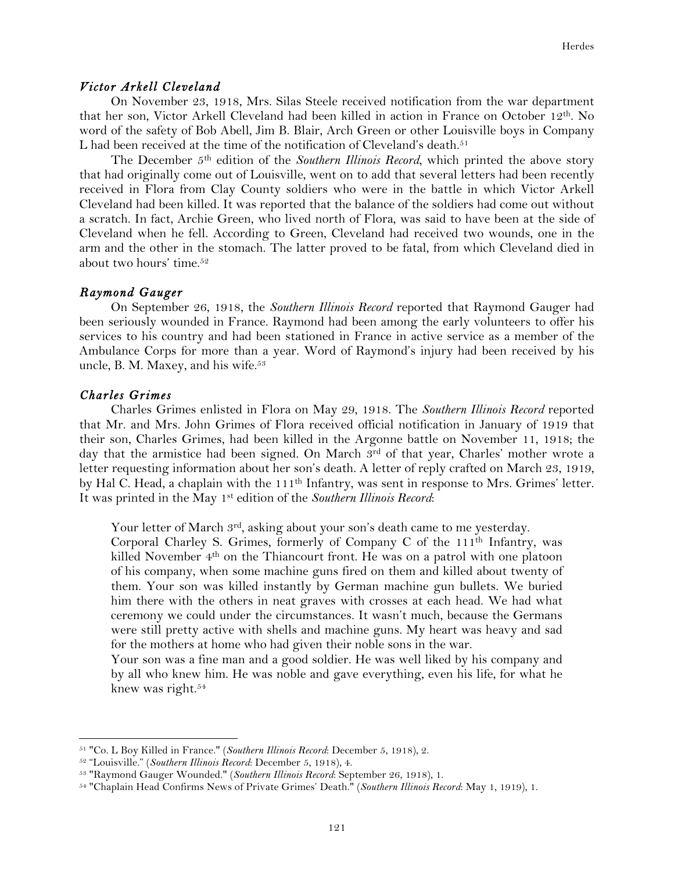## *Victor Arkell Cleveland*

On November 23, 1918, Mrs. Silas Steele received notification from the war department that her son, Victor Arkell Cleveland had been killed in action in France on October 12<sup>th</sup>. No word of the safety of Bob Abell, Jim B. Blair, Arch Green or other Louisville boys in Company L had been received at the time of the notification of Cleveland's death.<sup>51</sup>

The December 5th edition of the *Southern Illinois Record*, which printed the above story that had originally come out of Louisville, went on to add that several letters had been recently received in Flora from Clay County soldiers who were in the battle in which Victor Arkell Cleveland had been killed. It was reported that the balance of the soldiers had come out without a scratch. In fact, Archie Green, who lived north of Flora, was said to have been at the side of Cleveland when he fell. According to Green, Cleveland had received two wounds, one in the arm and the other in the stomach. The latter proved to be fatal, from which Cleveland died in about two hours' time.52

#### *Raymond Gauger*

On September 26, 1918, the *Southern Illinois Record* reported that Raymond Gauger had been seriously wounded in France. Raymond had been among the early volunteers to offer his services to his country and had been stationed in France in active service as a member of the Ambulance Corps for more than a year. Word of Raymond's injury had been received by his uncle, B. M. Maxey, and his wife.<sup>53</sup>

#### *Charles Grimes*

Charles Grimes enlisted in Flora on May 29, 1918. The *Southern Illinois Record* reported that Mr. and Mrs. John Grimes of Flora received official notification in January of 1919 that their son, Charles Grimes, had been killed in the Argonne battle on November 11, 1918; the day that the armistice had been signed. On March 3rd of that year, Charles' mother wrote a letter requesting information about her son's death. A letter of reply crafted on March 23, 1919, by Hal C. Head, a chaplain with the 111th Infantry, was sent in response to Mrs. Grimes' letter. It was printed in the May 1st edition of the *Southern Illinois Record*:

Your letter of March  $3<sup>rd</sup>$ , asking about your son's death came to me yesterday.

Corporal Charley S. Grimes, formerly of Company C of the 111th Infantry, was killed November 4th on the Thiancourt front. He was on a patrol with one platoon of his company, when some machine guns fired on them and killed about twenty of them. Your son was killed instantly by German machine gun bullets. We buried him there with the others in neat graves with crosses at each head. We had what ceremony we could under the circumstances. It wasn't much, because the Germans were still pretty active with shells and machine guns. My heart was heavy and sad for the mothers at home who had given their noble sons in the war.

Your son was a fine man and a good soldier. He was well liked by his company and by all who knew him. He was noble and gave everything, even his life, for what he knew was right.54

<sup>51</sup> "Co. L Boy Killed in France." (*Southern Illinois Record*: December 5, 1918), 2.

<sup>52</sup> "Louisville." (*Southern Illinois Record*: December 5, 1918), 4.

<sup>53</sup> "Raymond Gauger Wounded." (*Southern Illinois Record*: September 26, 1918), 1.

<sup>54</sup> "Chaplain Head Confirms News of Private Grimes' Death." (*Southern Illinois Record*: May 1, 1919), 1.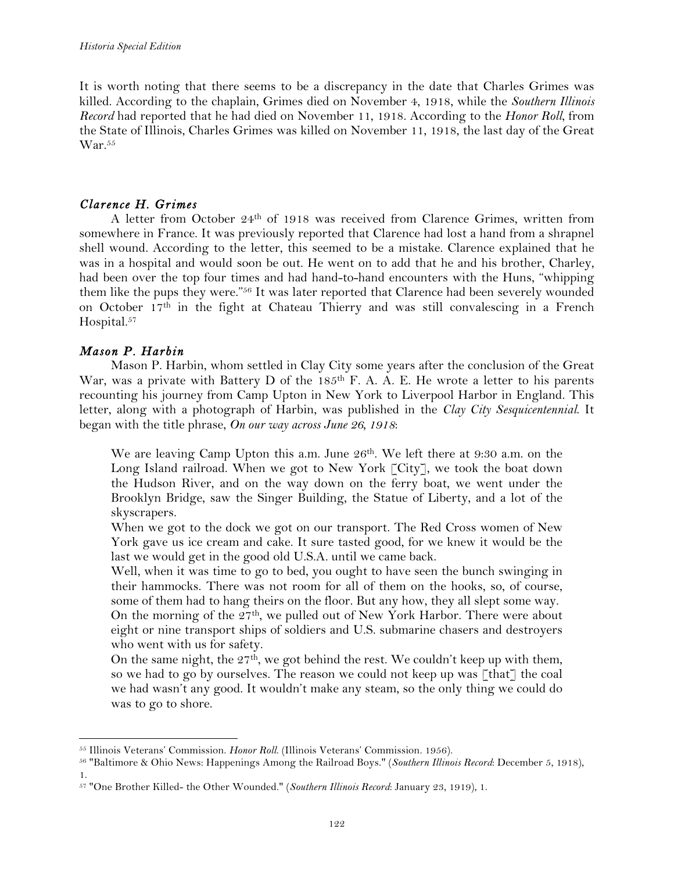It is worth noting that there seems to be a discrepancy in the date that Charles Grimes was killed. According to the chaplain, Grimes died on November 4, 1918, while the *Southern Illinois Record* had reported that he had died on November 11, 1918. According to the *Honor Roll*, from the State of Illinois, Charles Grimes was killed on November 11, 1918, the last day of the Great War.<sup>55</sup>

## *Clarence H. Grimes*

A letter from October 24th of 1918 was received from Clarence Grimes, written from somewhere in France. It was previously reported that Clarence had lost a hand from a shrapnel shell wound. According to the letter, this seemed to be a mistake. Clarence explained that he was in a hospital and would soon be out. He went on to add that he and his brother, Charley, had been over the top four times and had hand-to-hand encounters with the Huns, "whipping them like the pups they were."56 It was later reported that Clarence had been severely wounded on October 17th in the fight at Chateau Thierry and was still convalescing in a French Hospital.<sup>57</sup>

# *Mason P. Harbin*

!!!!!!!!!!!!!!!!!!!!!!!!!!!!!!!!!!!!!!!!!!!!!!!!!!!!!!!!!!!!

Mason P. Harbin, whom settled in Clay City some years after the conclusion of the Great War, was a private with Battery D of the 185<sup>th</sup> F. A. A. E. He wrote a letter to his parents recounting his journey from Camp Upton in New York to Liverpool Harbor in England. This letter, along with a photograph of Harbin, was published in the *Clay City Sesquicentennial*. It began with the title phrase, *On our way across June 26, 1918*:

We are leaving Camp Upton this a.m. June 26<sup>th</sup>. We left there at 9:30 a.m. on the Long Island railroad. When we got to New York [City], we took the boat down the Hudson River, and on the way down on the ferry boat, we went under the Brooklyn Bridge, saw the Singer Building, the Statue of Liberty, and a lot of the skyscrapers.

When we got to the dock we got on our transport. The Red Cross women of New York gave us ice cream and cake. It sure tasted good, for we knew it would be the last we would get in the good old U.S.A. until we came back.

Well, when it was time to go to bed, you ought to have seen the bunch swinging in their hammocks. There was not room for all of them on the hooks, so, of course, some of them had to hang theirs on the floor. But any how, they all slept some way. On the morning of the 27<sup>th</sup>, we pulled out of New York Harbor. There were about eight or nine transport ships of soldiers and U.S. submarine chasers and destroyers who went with us for safety.

On the same night, the  $27<sup>th</sup>$ , we got behind the rest. We couldn't keep up with them, so we had to go by ourselves. The reason we could not keep up was [that] the coal we had wasn't any good. It wouldn't make any steam, so the only thing we could do was to go to shore.

<sup>55</sup> Illinois Veterans' Commission. *Honor Roll*. (Illinois Veterans' Commission. 1956).

<sup>56</sup> "Baltimore & Ohio News: Happenings Among the Railroad Boys." (*Southern Illinois Record*: December 5, 1918), 1.

<sup>57</sup> "One Brother Killed- the Other Wounded." (*Southern Illinois Record*: January 23, 1919), 1.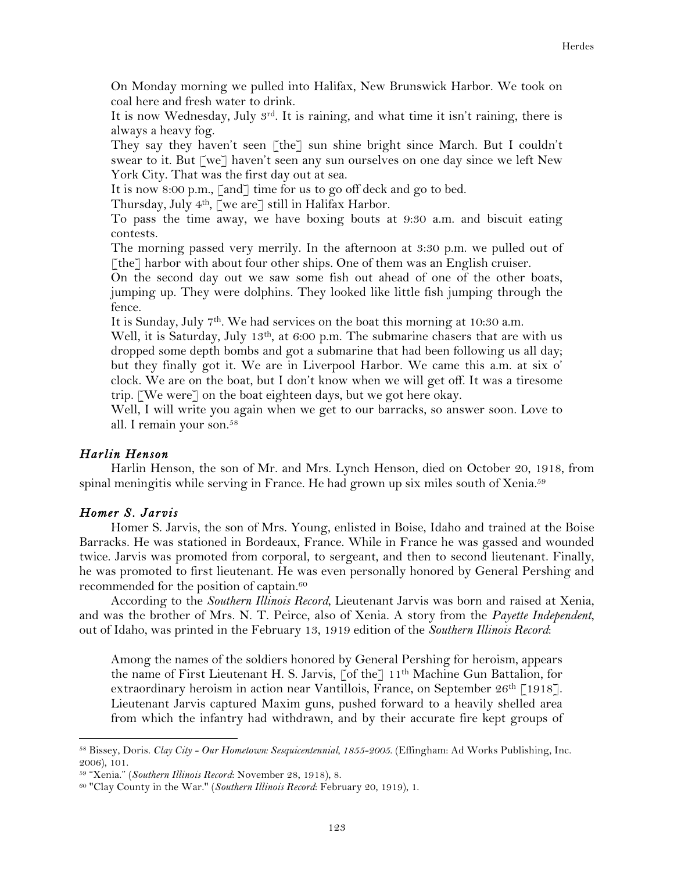On Monday morning we pulled into Halifax, New Brunswick Harbor. We took on coal here and fresh water to drink.

It is now Wednesday, July  $3^{rd}$ . It is raining, and what time it isn't raining, there is always a heavy fog.

They say they haven't seen  $\lceil \text{the} \rceil$  sun shine bright since March. But I couldn't swear to it. But [we] haven't seen any sun ourselves on one day since we left New York City. That was the first day out at sea.

It is now 8:00 p.m., [and] time for us to go off deck and go to bed.

Thursday, July 4th, [we are] still in Halifax Harbor.

To pass the time away, we have boxing bouts at 9:30 a.m. and biscuit eating contests.

The morning passed very merrily. In the afternoon at 3:30 p.m. we pulled out of [the] harbor with about four other ships. One of them was an English cruiser.

On the second day out we saw some fish out ahead of one of the other boats, jumping up. They were dolphins. They looked like little fish jumping through the fence.

It is Sunday, July 7th. We had services on the boat this morning at 10:30 a.m.

Well, it is Saturday, July 13<sup>th</sup>, at 6:00 p.m. The submarine chasers that are with us dropped some depth bombs and got a submarine that had been following us all day; but they finally got it. We are in Liverpool Harbor. We came this a.m. at six o' clock. We are on the boat, but I don't know when we will get off. It was a tiresome trip. [We were] on the boat eighteen days, but we got here okay.

Well, I will write you again when we get to our barracks, so answer soon. Love to all. I remain your son.58

## *Harlin Henson*

Harlin Henson, the son of Mr. and Mrs. Lynch Henson, died on October 20, 1918, from spinal meningitis while serving in France. He had grown up six miles south of Xenia.<sup>59</sup>

## *Homer S. Jarvis*

Homer S. Jarvis, the son of Mrs. Young, enlisted in Boise, Idaho and trained at the Boise Barracks. He was stationed in Bordeaux, France. While in France he was gassed and wounded twice. Jarvis was promoted from corporal, to sergeant, and then to second lieutenant. Finally, he was promoted to first lieutenant. He was even personally honored by General Pershing and recommended for the position of captain.<sup>60</sup>

According to the *Southern Illinois Record*, Lieutenant Jarvis was born and raised at Xenia, and was the brother of Mrs. N. T. Peirce, also of Xenia. A story from the *Payette Independent*, out of Idaho, was printed in the February 13, 1919 edition of the *Southern Illinois Record*:

Among the names of the soldiers honored by General Pershing for heroism, appears the name of First Lieutenant H. S. Jarvis,  $\lceil \text{of the} \rceil 11^{\text{th}}$  Machine Gun Battalion, for extraordinary heroism in action near Vantillois, France, on September  $26<sup>th</sup>$  [1918]. Lieutenant Jarvis captured Maxim guns, pushed forward to a heavily shelled area from which the infantry had withdrawn, and by their accurate fire kept groups of

<sup>58</sup> Bissey, Doris. *Clay City - Our Hometown: Sesquicentennial, 1855-2005*. (Effingham: Ad Works Publishing, Inc. 2006), 101.

<sup>59</sup> "Xenia." (*Southern Illinois Record*: November 28, 1918), 8.

<sup>60</sup> "Clay County in the War." (*Southern Illinois Record*: February 20, 1919), 1.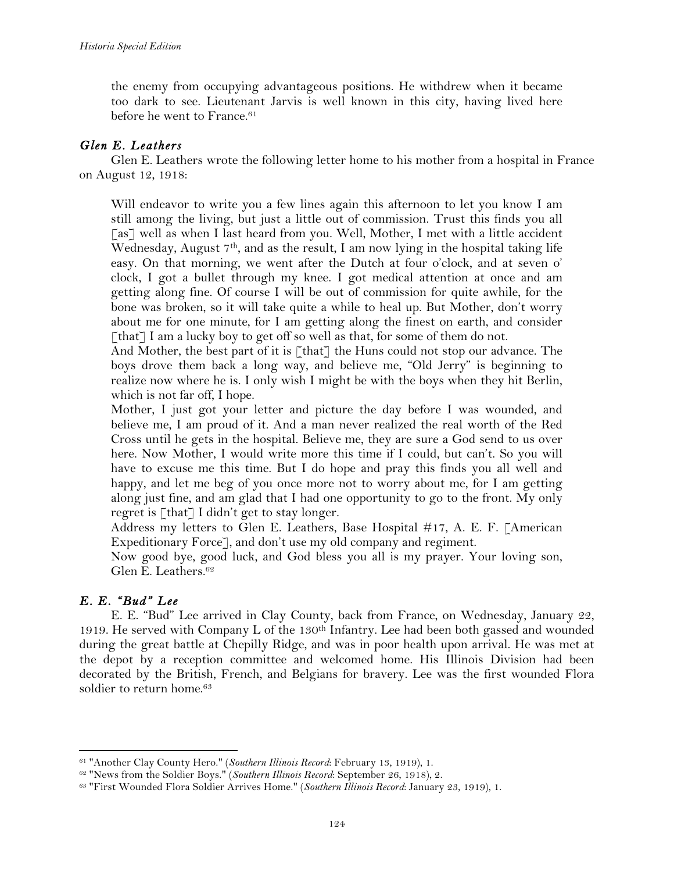the enemy from occupying advantageous positions. He withdrew when it became too dark to see. Lieutenant Jarvis is well known in this city, having lived here before he went to France.<sup>61</sup>

## *Glen E. Leathers*

Glen E. Leathers wrote the following letter home to his mother from a hospital in France on August 12, 1918:

Will endeavor to write you a few lines again this afternoon to let you know I am still among the living, but just a little out of commission. Trust this finds you all [as] well as when I last heard from you. Well, Mother, I met with a little accident Wednesday, August  $7<sup>th</sup>$ , and as the result, I am now lying in the hospital taking life easy. On that morning, we went after the Dutch at four o'clock, and at seven o' clock, I got a bullet through my knee. I got medical attention at once and am getting along fine. Of course I will be out of commission for quite awhile, for the bone was broken, so it will take quite a while to heal up. But Mother, don't worry about me for one minute, for I am getting along the finest on earth, and consider [that] I am a lucky boy to get off so well as that, for some of them do not.

And Mother, the best part of it is [that] the Huns could not stop our advance. The boys drove them back a long way, and believe me, "Old Jerry" is beginning to realize now where he is. I only wish I might be with the boys when they hit Berlin, which is not far off, I hope.

Mother, I just got your letter and picture the day before I was wounded, and believe me, I am proud of it. And a man never realized the real worth of the Red Cross until he gets in the hospital. Believe me, they are sure a God send to us over here. Now Mother, I would write more this time if I could, but can't. So you will have to excuse me this time. But I do hope and pray this finds you all well and happy, and let me beg of you once more not to worry about me, for I am getting along just fine, and am glad that I had one opportunity to go to the front. My only regret is [that] I didn't get to stay longer.

Address my letters to Glen E. Leathers, Base Hospital #17, A. E. F. [American Expeditionary Force], and don't use my old company and regiment.

Now good bye, good luck, and God bless you all is my prayer. Your loving son, Glen E. Leathers.62

## *E. E. "Bud" Lee*

!!!!!!!!!!!!!!!!!!!!!!!!!!!!!!!!!!!!!!!!!!!!!!!!!!!!!!!!!!!!

E. E. "Bud" Lee arrived in Clay County, back from France, on Wednesday, January 22, 1919. He served with Company L of the 130<sup>th</sup> Infantry. Lee had been both gassed and wounded during the great battle at Chepilly Ridge, and was in poor health upon arrival. He was met at the depot by a reception committee and welcomed home. His Illinois Division had been decorated by the British, French, and Belgians for bravery. Lee was the first wounded Flora soldier to return home.<sup>63</sup>

<sup>61</sup> "Another Clay County Hero." (*Southern Illinois Record*: February 13, 1919), 1.

<sup>62</sup> "News from the Soldier Boys." (*Southern Illinois Record*: September 26, 1918), 2.

<sup>63</sup> "First Wounded Flora Soldier Arrives Home." (*Southern Illinois Record*: January 23, 1919), 1.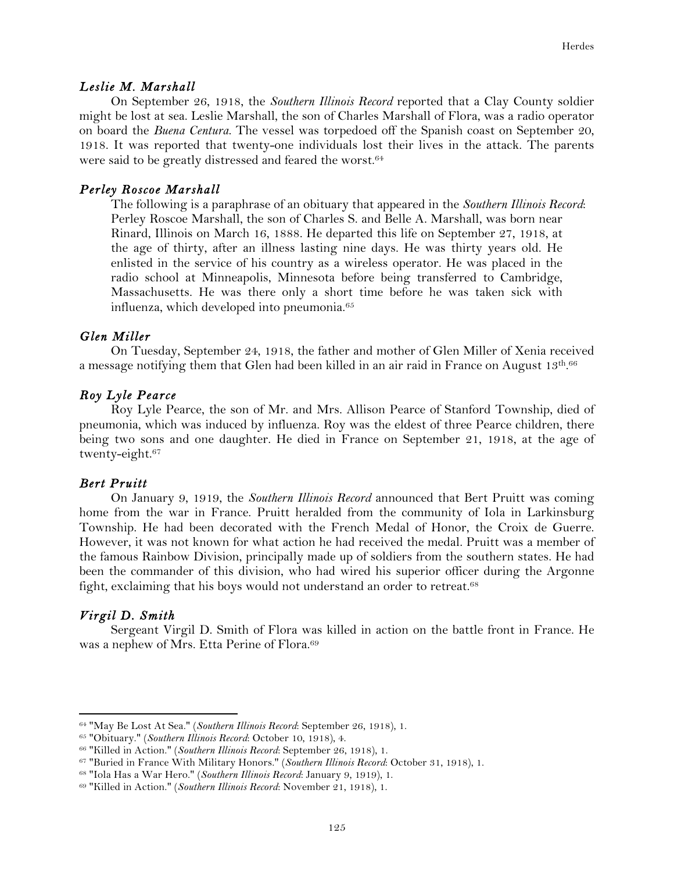#### *Leslie M. Marshall*

On September 26, 1918, the *Southern Illinois Record* reported that a Clay County soldier might be lost at sea. Leslie Marshall, the son of Charles Marshall of Flora, was a radio operator on board the *Buena Centura*. The vessel was torpedoed off the Spanish coast on September 20, 1918. It was reported that twenty-one individuals lost their lives in the attack. The parents were said to be greatly distressed and feared the worst.<sup>64</sup>

### *Perley Roscoe Marshall*

The following is a paraphrase of an obituary that appeared in the *Southern Illinois Record*: Perley Roscoe Marshall, the son of Charles S. and Belle A. Marshall, was born near Rinard, Illinois on March 16, 1888. He departed this life on September 27, 1918, at the age of thirty, after an illness lasting nine days. He was thirty years old. He enlisted in the service of his country as a wireless operator. He was placed in the radio school at Minneapolis, Minnesota before being transferred to Cambridge, Massachusetts. He was there only a short time before he was taken sick with influenza, which developed into pneumonia.65

## *Glen Miller*

On Tuesday, September 24, 1918, the father and mother of Glen Miller of Xenia received a message notifying them that Glen had been killed in an air raid in France on August 13th.<sup>66</sup>

## *Roy Lyle Pearce*

Roy Lyle Pearce, the son of Mr. and Mrs. Allison Pearce of Stanford Township, died of pneumonia, which was induced by influenza. Roy was the eldest of three Pearce children, there being two sons and one daughter. He died in France on September 21, 1918, at the age of twenty-eight.67

#### *Bert Pruitt*

On January 9, 1919, the *Southern Illinois Record* announced that Bert Pruitt was coming home from the war in France. Pruitt heralded from the community of Iola in Larkinsburg Township. He had been decorated with the French Medal of Honor, the Croix de Guerre. However, it was not known for what action he had received the medal. Pruitt was a member of the famous Rainbow Division, principally made up of soldiers from the southern states. He had been the commander of this division, who had wired his superior officer during the Argonne fight, exclaiming that his boys would not understand an order to retreat.<sup>68</sup>

## *Virgil D. Smith*

!!!!!!!!!!!!!!!!!!!!!!!!!!!!!!!!!!!!!!!!!!!!!!!!!!!!!!!!!!!!

Sergeant Virgil D. Smith of Flora was killed in action on the battle front in France. He was a nephew of Mrs. Etta Perine of Flora.69

<sup>64</sup> "May Be Lost At Sea." (*Southern Illinois Record*: September 26, 1918), 1.

<sup>65</sup> "Obituary." (*Southern Illinois Record*: October 10, 1918), 4.

<sup>66</sup> "Killed in Action." (*Southern Illinois Record*: September 26, 1918), 1.

<sup>67</sup> "Buried in France With Military Honors." (*Southern Illinois Record*: October 31, 1918), 1.

<sup>68</sup> "Iola Has a War Hero." (*Southern Illinois Record*: January 9, 1919), 1.

<sup>69</sup> "Killed in Action." (*Southern Illinois Record*: November 21, 1918), 1.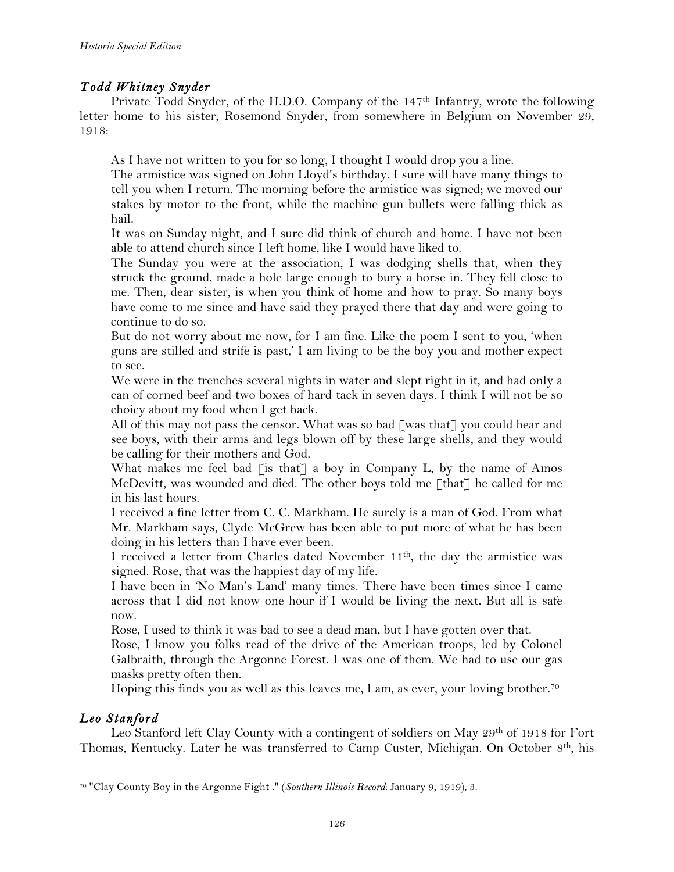# *Todd Whitney Snyder*

Private Todd Snyder, of the H.D.O. Company of the 147<sup>th</sup> Infantry, wrote the following letter home to his sister, Rosemond Snyder, from somewhere in Belgium on November 29, 1918:

As I have not written to you for so long, I thought I would drop you a line.

The armistice was signed on John Lloyd's birthday. I sure will have many things to tell you when I return. The morning before the armistice was signed; we moved our stakes by motor to the front, while the machine gun bullets were falling thick as hail.

It was on Sunday night, and I sure did think of church and home. I have not been able to attend church since I left home, like I would have liked to.

The Sunday you were at the association, I was dodging shells that, when they struck the ground, made a hole large enough to bury a horse in. They fell close to me. Then, dear sister, is when you think of home and how to pray. So many boys have come to me since and have said they prayed there that day and were going to continue to do so.

But do not worry about me now, for I am fine. Like the poem I sent to you, 'when guns are stilled and strife is past,' I am living to be the boy you and mother expect to see.

We were in the trenches several nights in water and slept right in it, and had only a can of corned beef and two boxes of hard tack in seven days. I think I will not be so choicy about my food when I get back.

All of this may not pass the censor. What was so bad  $\lceil \text{was that} \rceil$  you could hear and see boys, with their arms and legs blown off by these large shells, and they would be calling for their mothers and God.

What makes me feel bad  $\lceil \text{is that} \rceil$  a boy in Company L, by the name of Amos McDevitt, was wounded and died. The other boys told me [that] he called for me in his last hours.

I received a fine letter from C. C. Markham. He surely is a man of God. From what Mr. Markham says, Clyde McGrew has been able to put more of what he has been doing in his letters than I have ever been.

I received a letter from Charles dated November 11th, the day the armistice was signed. Rose, that was the happiest day of my life.

I have been in 'No Man's Land' many times. There have been times since I came across that I did not know one hour if I would be living the next. But all is safe now.

Rose, I used to think it was bad to see a dead man, but I have gotten over that.

Rose, I know you folks read of the drive of the American troops, led by Colonel Galbraith, through the Argonne Forest. I was one of them. We had to use our gas masks pretty often then.

Hoping this finds you as well as this leaves me, I am, as ever, your loving brother.<sup>70</sup>

# *Leo Stanford*

!!!!!!!!!!!!!!!!!!!!!!!!!!!!!!!!!!!!!!!!!!!!!!!!!!!!!!!!!!!!

Leo Stanford left Clay County with a contingent of soldiers on May 29<sup>th</sup> of 1918 for Fort Thomas, Kentucky. Later he was transferred to Camp Custer, Michigan. On October 8<sup>th</sup>, his

<sup>70</sup> "Clay County Boy in the Argonne Fight ." (*Southern Illinois Record*: January 9, 1919), 3.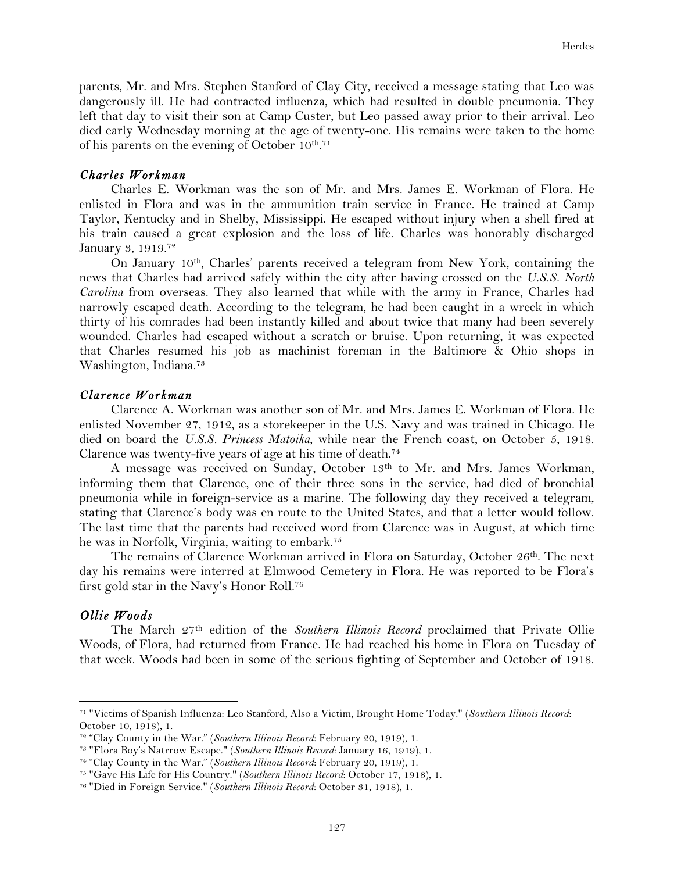parents, Mr. and Mrs. Stephen Stanford of Clay City, received a message stating that Leo was dangerously ill. He had contracted influenza, which had resulted in double pneumonia. They left that day to visit their son at Camp Custer, but Leo passed away prior to their arrival. Leo died early Wednesday morning at the age of twenty-one. His remains were taken to the home of his parents on the evening of October 10<sup>th</sup>.<sup>71</sup>

## *Charles Workman*

Charles E. Workman was the son of Mr. and Mrs. James E. Workman of Flora. He enlisted in Flora and was in the ammunition train service in France. He trained at Camp Taylor, Kentucky and in Shelby, Mississippi. He escaped without injury when a shell fired at his train caused a great explosion and the loss of life. Charles was honorably discharged January 3, 1919.72

On January 10th, Charles' parents received a telegram from New York, containing the news that Charles had arrived safely within the city after having crossed on the *U.S.S. North Carolina* from overseas. They also learned that while with the army in France, Charles had narrowly escaped death. According to the telegram, he had been caught in a wreck in which thirty of his comrades had been instantly killed and about twice that many had been severely wounded. Charles had escaped without a scratch or bruise. Upon returning, it was expected that Charles resumed his job as machinist foreman in the Baltimore & Ohio shops in Washington, Indiana.73

#### *Clarence Workman*

Clarence A. Workman was another son of Mr. and Mrs. James E. Workman of Flora. He enlisted November 27, 1912, as a storekeeper in the U.S. Navy and was trained in Chicago. He died on board the *U.S.S. Princess Matoika*, while near the French coast, on October 5, 1918. Clarence was twenty-five years of age at his time of death.74

A message was received on Sunday, October 13th to Mr. and Mrs. James Workman, informing them that Clarence, one of their three sons in the service, had died of bronchial pneumonia while in foreign-service as a marine. The following day they received a telegram, stating that Clarence's body was en route to the United States, and that a letter would follow. The last time that the parents had received word from Clarence was in August, at which time he was in Norfolk, Virginia, waiting to embark.75

The remains of Clarence Workman arrived in Flora on Saturday, October 26<sup>th</sup>. The next day his remains were interred at Elmwood Cemetery in Flora. He was reported to be Flora's first gold star in the Navy's Honor Roll.76

#### *Ollie Woods*

!!!!!!!!!!!!!!!!!!!!!!!!!!!!!!!!!!!!!!!!!!!!!!!!!!!!!!!!!!!!

The March 27th edition of the *Southern Illinois Record* proclaimed that Private Ollie Woods, of Flora, had returned from France. He had reached his home in Flora on Tuesday of that week. Woods had been in some of the serious fighting of September and October of 1918.

<sup>71</sup> "Victims of Spanish Influenza: Leo Stanford, Also a Victim, Brought Home Today." (*Southern Illinois Record*: October 10, 1918), 1.

<sup>72</sup> "Clay County in the War." (*Southern Illinois Record*: February 20, 1919), 1.

<sup>73</sup> "Flora Boy's Natrrow Escape." (*Southern Illinois Record*: January 16, 1919), 1.

<sup>74</sup> "Clay County in the War." (*Southern Illinois Record*: February 20, 1919), 1.

<sup>75</sup> "Gave His Life for His Country." (*Southern Illinois Record*: October 17, 1918), 1.

<sup>76</sup> "Died in Foreign Service." (*Southern Illinois Record*: October 31, 1918), 1.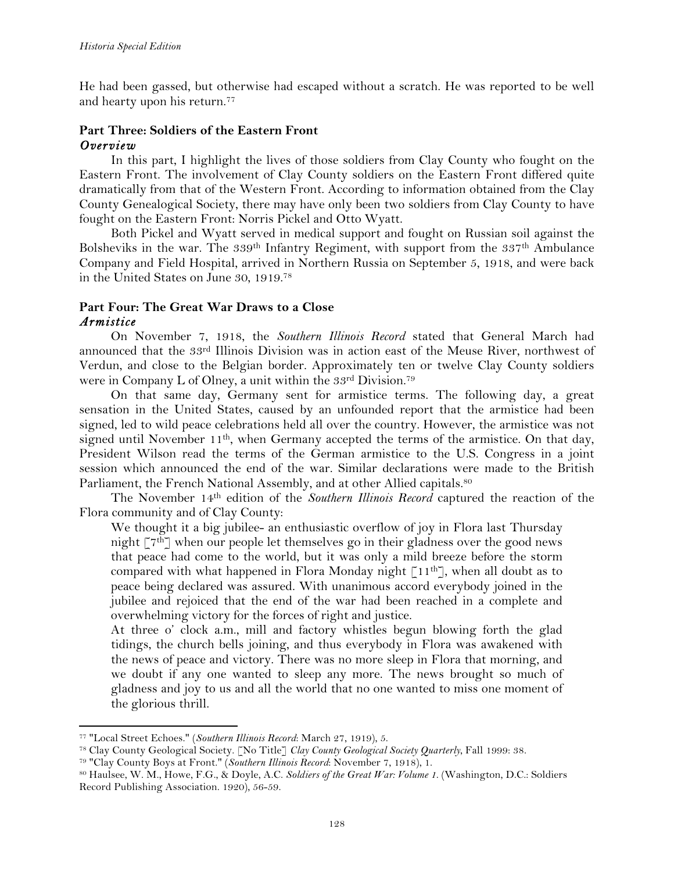He had been gassed, but otherwise had escaped without a scratch. He was reported to be well and hearty upon his return.77

## **Part Three: Soldiers of the Eastern Front** *Overview*

In this part, I highlight the lives of those soldiers from Clay County who fought on the Eastern Front. The involvement of Clay County soldiers on the Eastern Front differed quite dramatically from that of the Western Front. According to information obtained from the Clay County Genealogical Society, there may have only been two soldiers from Clay County to have fought on the Eastern Front: Norris Pickel and Otto Wyatt.

Both Pickel and Wyatt served in medical support and fought on Russian soil against the Bolsheviks in the war. The 339<sup>th</sup> Infantry Regiment, with support from the 337<sup>th</sup> Ambulance Company and Field Hospital, arrived in Northern Russia on September 5, 1918, and were back in the United States on June 30, 1919.78

## **Part Four: The Great War Draws to a Close** *Armistice*

On November 7, 1918, the *Southern Illinois Record* stated that General March had announced that the 33rd Illinois Division was in action east of the Meuse River, northwest of Verdun, and close to the Belgian border. Approximately ten or twelve Clay County soldiers were in Company L of Olney, a unit within the 33rd Division.<sup>79</sup>

On that same day, Germany sent for armistice terms. The following day, a great sensation in the United States, caused by an unfounded report that the armistice had been signed, led to wild peace celebrations held all over the country. However, the armistice was not signed until November 11<sup>th</sup>, when Germany accepted the terms of the armistice. On that day, President Wilson read the terms of the German armistice to the U.S. Congress in a joint session which announced the end of the war. Similar declarations were made to the British Parliament, the French National Assembly, and at other Allied capitals.<sup>80</sup>

The November 14th edition of the *Southern Illinois Record* captured the reaction of the Flora community and of Clay County:

We thought it a big jubilee- an enthusiastic overflow of joy in Flora last Thursday night  $\lceil 7^{th} \rceil$  when our people let themselves go in their gladness over the good news that peace had come to the world, but it was only a mild breeze before the storm compared with what happened in Flora Monday night  $[11^{th}]$ , when all doubt as to peace being declared was assured. With unanimous accord everybody joined in the jubilee and rejoiced that the end of the war had been reached in a complete and overwhelming victory for the forces of right and justice.

At three o' clock a.m., mill and factory whistles begun blowing forth the glad tidings, the church bells joining, and thus everybody in Flora was awakened with the news of peace and victory. There was no more sleep in Flora that morning, and we doubt if any one wanted to sleep any more. The news brought so much of gladness and joy to us and all the world that no one wanted to miss one moment of the glorious thrill.

<sup>77</sup> "Local Street Echoes." (*Southern Illinois Record*: March 27, 1919), 5.

<sup>78</sup> Clay County Geological Society. [No Title] *Clay County Geological Society Quarterly*, Fall 1999: 38.

<sup>79</sup> "Clay County Boys at Front." (*Southern Illinois Record*: November 7, 1918), 1.

<sup>80</sup> Haulsee, W. M., Howe, F.G., & Doyle, A.C. *Soldiers of the Great War: Volume 1*. (Washington, D.C.: Soldiers Record Publishing Association. 1920), 56-59.